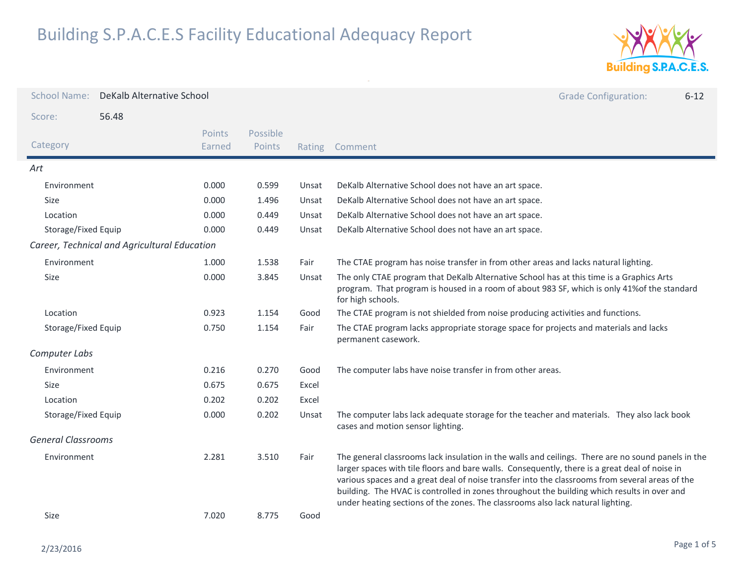

| <b>School Name:</b>       | DeKalb Alternative School                    |                  |                    |        |                                                                                                                                                                                                                                                                                                                                                                                                                                                                                           | <b>Grade Configuration:</b> | $6 - 12$ |
|---------------------------|----------------------------------------------|------------------|--------------------|--------|-------------------------------------------------------------------------------------------------------------------------------------------------------------------------------------------------------------------------------------------------------------------------------------------------------------------------------------------------------------------------------------------------------------------------------------------------------------------------------------------|-----------------------------|----------|
| Score:                    | 56.48                                        |                  |                    |        |                                                                                                                                                                                                                                                                                                                                                                                                                                                                                           |                             |          |
| Category                  |                                              | Points<br>Earned | Possible<br>Points | Rating | Comment                                                                                                                                                                                                                                                                                                                                                                                                                                                                                   |                             |          |
| Art                       |                                              |                  |                    |        |                                                                                                                                                                                                                                                                                                                                                                                                                                                                                           |                             |          |
| Environment               |                                              | 0.000            | 0.599              | Unsat  | DeKalb Alternative School does not have an art space.                                                                                                                                                                                                                                                                                                                                                                                                                                     |                             |          |
| Size                      |                                              | 0.000            | 1.496              | Unsat  | DeKalb Alternative School does not have an art space.                                                                                                                                                                                                                                                                                                                                                                                                                                     |                             |          |
| Location                  |                                              | 0.000            | 0.449              | Unsat  | DeKalb Alternative School does not have an art space.                                                                                                                                                                                                                                                                                                                                                                                                                                     |                             |          |
| Storage/Fixed Equip       |                                              | 0.000            | 0.449              | Unsat  | DeKalb Alternative School does not have an art space.                                                                                                                                                                                                                                                                                                                                                                                                                                     |                             |          |
|                           | Career, Technical and Agricultural Education |                  |                    |        |                                                                                                                                                                                                                                                                                                                                                                                                                                                                                           |                             |          |
| Environment               |                                              | 1.000            | 1.538              | Fair   | The CTAE program has noise transfer in from other areas and lacks natural lighting.                                                                                                                                                                                                                                                                                                                                                                                                       |                             |          |
| Size                      |                                              | 0.000            | 3.845              | Unsat  | The only CTAE program that DeKalb Alternative School has at this time is a Graphics Arts<br>program. That program is housed in a room of about 983 SF, which is only 41% of the standard<br>for high schools.                                                                                                                                                                                                                                                                             |                             |          |
| Location                  |                                              | 0.923            | 1.154              | Good   | The CTAE program is not shielded from noise producing activities and functions.                                                                                                                                                                                                                                                                                                                                                                                                           |                             |          |
| Storage/Fixed Equip       |                                              | 0.750            | 1.154              | Fair   | The CTAE program lacks appropriate storage space for projects and materials and lacks<br>permanent casework.                                                                                                                                                                                                                                                                                                                                                                              |                             |          |
| Computer Labs             |                                              |                  |                    |        |                                                                                                                                                                                                                                                                                                                                                                                                                                                                                           |                             |          |
| Environment               |                                              | 0.216            | 0.270              | Good   | The computer labs have noise transfer in from other areas.                                                                                                                                                                                                                                                                                                                                                                                                                                |                             |          |
| Size                      |                                              | 0.675            | 0.675              | Excel  |                                                                                                                                                                                                                                                                                                                                                                                                                                                                                           |                             |          |
| Location                  |                                              | 0.202            | 0.202              | Excel  |                                                                                                                                                                                                                                                                                                                                                                                                                                                                                           |                             |          |
| Storage/Fixed Equip       |                                              | 0.000            | 0.202              | Unsat  | The computer labs lack adequate storage for the teacher and materials. They also lack book<br>cases and motion sensor lighting.                                                                                                                                                                                                                                                                                                                                                           |                             |          |
| <b>General Classrooms</b> |                                              |                  |                    |        |                                                                                                                                                                                                                                                                                                                                                                                                                                                                                           |                             |          |
| Environment               |                                              | 2.281            | 3.510              | Fair   | The general classrooms lack insulation in the walls and ceilings. There are no sound panels in the<br>larger spaces with tile floors and bare walls. Consequently, there is a great deal of noise in<br>various spaces and a great deal of noise transfer into the classrooms from several areas of the<br>building. The HVAC is controlled in zones throughout the building which results in over and<br>under heating sections of the zones. The classrooms also lack natural lighting. |                             |          |
| Size                      |                                              | 7.020            | 8.775              | Good   |                                                                                                                                                                                                                                                                                                                                                                                                                                                                                           |                             |          |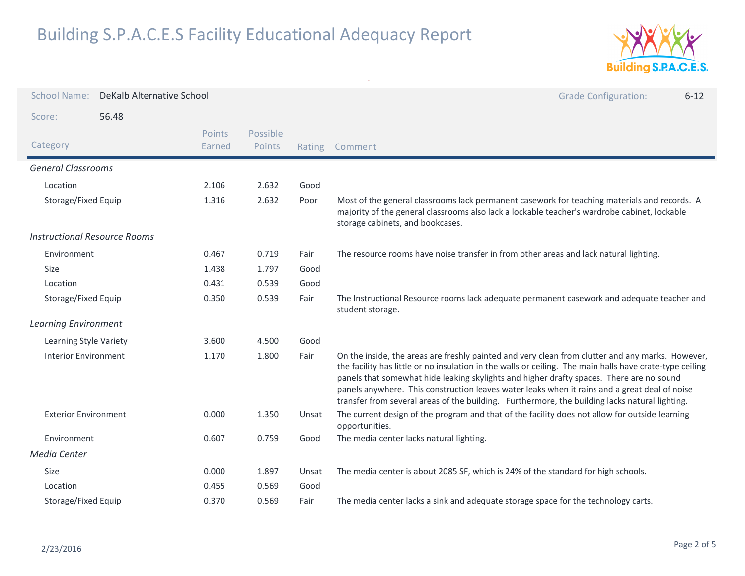

| <b>School Name:</b>                 | DeKalb Alternative School |                  |                    |        | <b>Grade Configuration:</b><br>$6 - 12$                                                                                                                                                                                                                                                                                                                                                                                                                                                                     |
|-------------------------------------|---------------------------|------------------|--------------------|--------|-------------------------------------------------------------------------------------------------------------------------------------------------------------------------------------------------------------------------------------------------------------------------------------------------------------------------------------------------------------------------------------------------------------------------------------------------------------------------------------------------------------|
| Score:                              | 56.48                     |                  |                    |        |                                                                                                                                                                                                                                                                                                                                                                                                                                                                                                             |
| Category                            |                           | Points<br>Earned | Possible<br>Points | Rating | Comment                                                                                                                                                                                                                                                                                                                                                                                                                                                                                                     |
| <b>General Classrooms</b>           |                           |                  |                    |        |                                                                                                                                                                                                                                                                                                                                                                                                                                                                                                             |
| Location                            |                           | 2.106            | 2.632              | Good   |                                                                                                                                                                                                                                                                                                                                                                                                                                                                                                             |
| Storage/Fixed Equip                 |                           | 1.316            | 2.632              | Poor   | Most of the general classrooms lack permanent casework for teaching materials and records. A<br>majority of the general classrooms also lack a lockable teacher's wardrobe cabinet, lockable<br>storage cabinets, and bookcases.                                                                                                                                                                                                                                                                            |
| <b>Instructional Resource Rooms</b> |                           |                  |                    |        |                                                                                                                                                                                                                                                                                                                                                                                                                                                                                                             |
| Environment                         |                           | 0.467            | 0.719              | Fair   | The resource rooms have noise transfer in from other areas and lack natural lighting.                                                                                                                                                                                                                                                                                                                                                                                                                       |
| Size                                |                           | 1.438            | 1.797              | Good   |                                                                                                                                                                                                                                                                                                                                                                                                                                                                                                             |
| Location                            |                           | 0.431            | 0.539              | Good   |                                                                                                                                                                                                                                                                                                                                                                                                                                                                                                             |
| Storage/Fixed Equip                 |                           | 0.350            | 0.539              | Fair   | The Instructional Resource rooms lack adequate permanent casework and adequate teacher and<br>student storage.                                                                                                                                                                                                                                                                                                                                                                                              |
| <b>Learning Environment</b>         |                           |                  |                    |        |                                                                                                                                                                                                                                                                                                                                                                                                                                                                                                             |
| Learning Style Variety              |                           | 3.600            | 4.500              | Good   |                                                                                                                                                                                                                                                                                                                                                                                                                                                                                                             |
| <b>Interior Environment</b>         |                           | 1.170            | 1.800              | Fair   | On the inside, the areas are freshly painted and very clean from clutter and any marks. However,<br>the facility has little or no insulation in the walls or ceiling. The main halls have crate-type ceiling<br>panels that somewhat hide leaking skylights and higher drafty spaces. There are no sound<br>panels anywhere. This construction leaves water leaks when it rains and a great deal of noise<br>transfer from several areas of the building. Furthermore, the building lacks natural lighting. |
| <b>Exterior Environment</b>         |                           | 0.000            | 1.350              | Unsat  | The current design of the program and that of the facility does not allow for outside learning<br>opportunities.                                                                                                                                                                                                                                                                                                                                                                                            |
| Environment                         |                           | 0.607            | 0.759              | Good   | The media center lacks natural lighting.                                                                                                                                                                                                                                                                                                                                                                                                                                                                    |
| Media Center                        |                           |                  |                    |        |                                                                                                                                                                                                                                                                                                                                                                                                                                                                                                             |
| Size                                |                           | 0.000            | 1.897              | Unsat  | The media center is about 2085 SF, which is 24% of the standard for high schools.                                                                                                                                                                                                                                                                                                                                                                                                                           |
| Location                            |                           | 0.455            | 0.569              | Good   |                                                                                                                                                                                                                                                                                                                                                                                                                                                                                                             |
| Storage/Fixed Equip                 |                           | 0.370            | 0.569              | Fair   | The media center lacks a sink and adequate storage space for the technology carts.                                                                                                                                                                                                                                                                                                                                                                                                                          |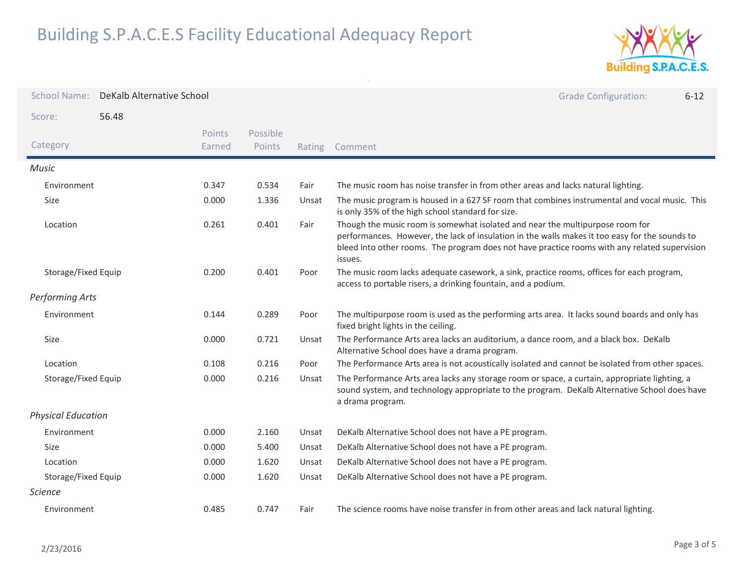

| <b>School Name:</b>       | DeKalb Alternative School |                  |                           |        | <b>Grade Configuration:</b><br>$6 - 12$                                                                                                                                                                                                                                                     |
|---------------------------|---------------------------|------------------|---------------------------|--------|---------------------------------------------------------------------------------------------------------------------------------------------------------------------------------------------------------------------------------------------------------------------------------------------|
| Score:                    | 56.48                     |                  |                           |        |                                                                                                                                                                                                                                                                                             |
| Category                  |                           | Points<br>Earned | Possible<br><b>Points</b> | Rating | Comment                                                                                                                                                                                                                                                                                     |
| Music                     |                           |                  |                           |        |                                                                                                                                                                                                                                                                                             |
| Environment               |                           | 0.347            | 0.534                     | Fair   | The music room has noise transfer in from other areas and lacks natural lighting.                                                                                                                                                                                                           |
| Size                      |                           | 0.000            | 1.336                     | Unsat  | The music program is housed in a 627 SF room that combines instrumental and vocal music. This<br>is only 35% of the high school standard for size.                                                                                                                                          |
| Location                  |                           | 0.261            | 0.401                     | Fair   | Though the music room is somewhat isolated and near the multipurpose room for<br>performances. However, the lack of insulation in the walls makes it too easy for the sounds to<br>bleed into other rooms. The program does not have practice rooms with any related supervision<br>issues. |
| Storage/Fixed Equip       |                           | 0.200            | 0.401                     | Poor   | The music room lacks adequate casework, a sink, practice rooms, offices for each program,<br>access to portable risers, a drinking fountain, and a podium.                                                                                                                                  |
| <b>Performing Arts</b>    |                           |                  |                           |        |                                                                                                                                                                                                                                                                                             |
| Environment               |                           | 0.144            | 0.289                     | Poor   | The multipurpose room is used as the performing arts area. It lacks sound boards and only has<br>fixed bright lights in the ceiling.                                                                                                                                                        |
| Size                      |                           | 0.000            | 0.721                     | Unsat  | The Performance Arts area lacks an auditorium, a dance room, and a black box. DeKalb<br>Alternative School does have a drama program.                                                                                                                                                       |
| Location                  |                           | 0.108            | 0.216                     | Poor   | The Performance Arts area is not acoustically isolated and cannot be isolated from other spaces.                                                                                                                                                                                            |
| Storage/Fixed Equip       |                           | 0.000            | 0.216                     | Unsat  | The Performance Arts area lacks any storage room or space, a curtain, appropriate lighting, a<br>sound system, and technology appropriate to the program. DeKalb Alternative School does have<br>a drama program.                                                                           |
| <b>Physical Education</b> |                           |                  |                           |        |                                                                                                                                                                                                                                                                                             |
| Environment               |                           | 0.000            | 2.160                     | Unsat  | DeKalb Alternative School does not have a PE program.                                                                                                                                                                                                                                       |
| <b>Size</b>               |                           | 0.000            | 5.400                     | Unsat  | DeKalb Alternative School does not have a PE program.                                                                                                                                                                                                                                       |
| Location                  |                           | 0.000            | 1.620                     | Unsat  | DeKalb Alternative School does not have a PE program.                                                                                                                                                                                                                                       |
| Storage/Fixed Equip       |                           | 0.000            | 1.620                     | Unsat  | DeKalb Alternative School does not have a PE program.                                                                                                                                                                                                                                       |
| <b>Science</b>            |                           |                  |                           |        |                                                                                                                                                                                                                                                                                             |
| Environment               |                           | 0.485            | 0.747                     | Fair   | The science rooms have noise transfer in from other areas and lack natural lighting.                                                                                                                                                                                                        |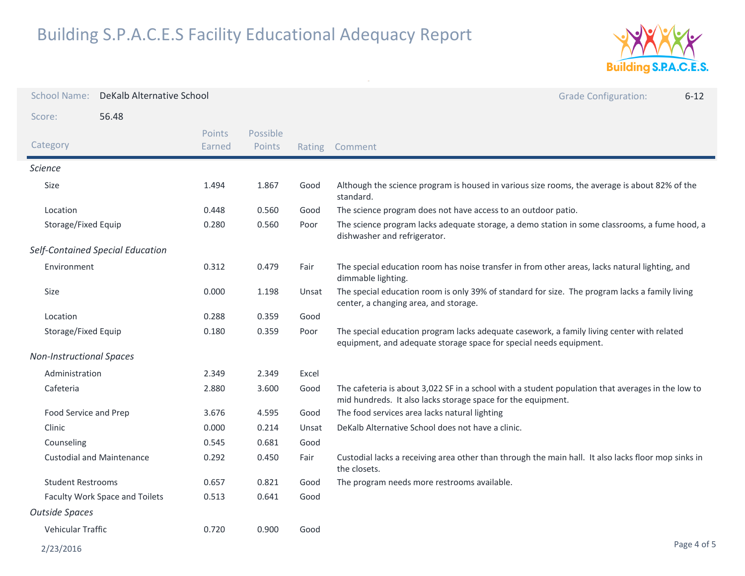

| <b>School Name:</b>              | DeKalb Alternative School        |                  |                    |        | <b>Grade Configuration:</b><br>$6 - 12$                                                                                                                           |
|----------------------------------|----------------------------------|------------------|--------------------|--------|-------------------------------------------------------------------------------------------------------------------------------------------------------------------|
| Score:                           | 56.48                            |                  |                    |        |                                                                                                                                                                   |
| Category                         |                                  | Points<br>Earned | Possible<br>Points | Rating | Comment                                                                                                                                                           |
| <b>Science</b>                   |                                  |                  |                    |        |                                                                                                                                                                   |
| Size                             |                                  | 1.494            | 1.867              | Good   | Although the science program is housed in various size rooms, the average is about 82% of the<br>standard.                                                        |
| Location                         |                                  | 0.448            | 0.560              | Good   | The science program does not have access to an outdoor patio.                                                                                                     |
| Storage/Fixed Equip              |                                  | 0.280            | 0.560              | Poor   | The science program lacks adequate storage, a demo station in some classrooms, a fume hood, a<br>dishwasher and refrigerator.                                     |
|                                  | Self-Contained Special Education |                  |                    |        |                                                                                                                                                                   |
| Environment                      |                                  | 0.312            | 0.479              | Fair   | The special education room has noise transfer in from other areas, lacks natural lighting, and<br>dimmable lighting.                                              |
| Size                             |                                  | 0.000            | 1.198              | Unsat  | The special education room is only 39% of standard for size. The program lacks a family living<br>center, a changing area, and storage.                           |
| Location                         |                                  | 0.288            | 0.359              | Good   |                                                                                                                                                                   |
| Storage/Fixed Equip              |                                  | 0.180            | 0.359              | Poor   | The special education program lacks adequate casework, a family living center with related<br>equipment, and adequate storage space for special needs equipment.  |
| <b>Non-Instructional Spaces</b>  |                                  |                  |                    |        |                                                                                                                                                                   |
| Administration                   |                                  | 2.349            | 2.349              | Excel  |                                                                                                                                                                   |
| Cafeteria                        |                                  | 2.880            | 3.600              | Good   | The cafeteria is about 3,022 SF in a school with a student population that averages in the low to<br>mid hundreds. It also lacks storage space for the equipment. |
| Food Service and Prep            |                                  | 3.676            | 4.595              | Good   | The food services area lacks natural lighting                                                                                                                     |
| Clinic                           |                                  | 0.000            | 0.214              | Unsat  | DeKalb Alternative School does not have a clinic.                                                                                                                 |
| Counseling                       |                                  | 0.545            | 0.681              | Good   |                                                                                                                                                                   |
| <b>Custodial and Maintenance</b> |                                  | 0.292            | 0.450              | Fair   | Custodial lacks a receiving area other than through the main hall. It also lacks floor mop sinks in<br>the closets.                                               |
| <b>Student Restrooms</b>         |                                  | 0.657            | 0.821              | Good   | The program needs more restrooms available.                                                                                                                       |
| Faculty Work Space and Toilets   |                                  | 0.513            | 0.641              | Good   |                                                                                                                                                                   |
| <b>Outside Spaces</b>            |                                  |                  |                    |        |                                                                                                                                                                   |
| Vehicular Traffic                |                                  | 0.720            | 0.900              | Good   |                                                                                                                                                                   |
| 2/23/2016                        |                                  |                  |                    |        | Page 4 of 5                                                                                                                                                       |